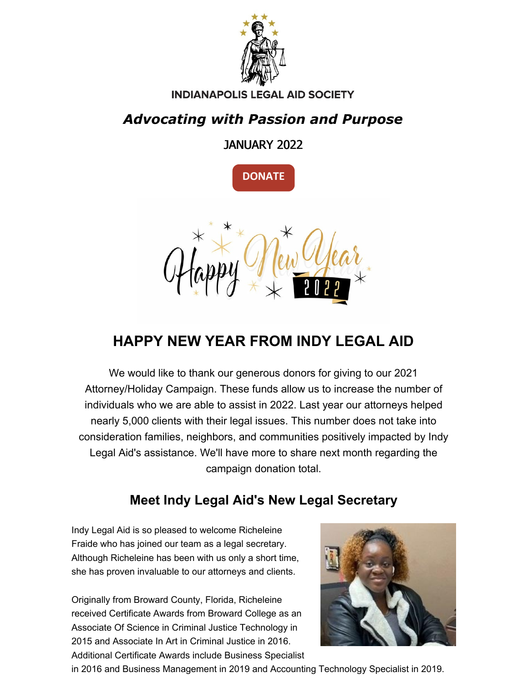

#### **INDIANAPOLIS LEGAL AID SOCIETY**

## *Advocating with Passion and Purpose*

JANUARY 2022





## **HAPPY NEW YEAR FROM INDY LEGAL AID**

We would like to thank our generous donors for giving to our 2021 Attorney/Holiday Campaign. These funds allow us to increase the number of individuals who we are able to assist in 2022. Last year our attorneys helped nearly 5,000 clients with their legal issues. This number does not take into consideration families, neighbors, and communities positively impacted by Indy Legal Aid's assistance. We'll have more to share next month regarding the campaign donation total.

### **Meet Indy Legal Aid's New Legal Secretary**

Indy Legal Aid is so pleased to welcome Richeleine Fraide who has joined our team as a legal secretary. Although Richeleine has been with us only a short time, she has proven invaluable to our attorneys and clients.

Originally from Broward County, Florida, Richeleine received Certificate Awards from Broward College as an Associate Of Science in Criminal Justice Technology in 2015 and Associate In Art in Criminal Justice in 2016. Additional Certificate Awards include Business Specialist



in 2016 and Business Management in 2019 and Accounting Technology Specialist in 2019.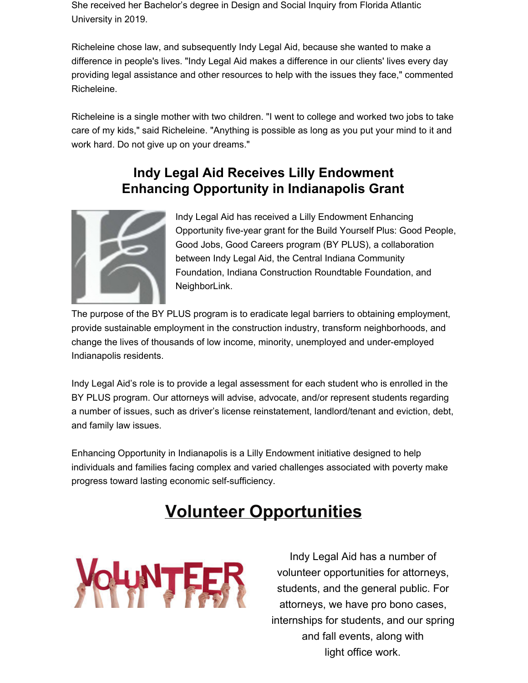She received her Bachelor's degree in Design and Social Inquiry from Florida Atlantic University in 2019.

Richeleine chose law, and subsequently Indy Legal Aid, because she wanted to make a difference in people's lives. "Indy Legal Aid makes a difference in our clients' lives every day providing legal assistance and other resources to help with the issues they face," commented Richeleine.

Richeleine is a single mother with two children. "I went to college and worked two jobs to take care of my kids," said Richeleine. "Anything is possible as long as you put your mind to it and work hard. Do not give up on your dreams."

#### **Indy Legal Aid Receives Lilly Endowment Enhancing Opportunity in Indianapolis Grant**



Indy Legal Aid has received a Lilly Endowment Enhancing Opportunity five-year grant for the Build Yourself Plus: Good People, Good Jobs, Good Careers program (BY PLUS), a collaboration between Indy Legal Aid, the Central Indiana Community Foundation, Indiana Construction Roundtable Foundation, and NeighborLink.

The purpose of the BY PLUS program is to eradicate legal barriers to obtaining employment, provide sustainable employment in the construction industry, transform neighborhoods, and change the lives of thousands of low income, minority, unemployed and under-employed Indianapolis residents.

Indy Legal Aid's role is to provide a legal assessment for each student who is enrolled in the BY PLUS program. Our attorneys will advise, advocate, and/or represent students regarding a number of issues, such as driver's license reinstatement, landlord/tenant and eviction, debt, and family law issues.

Enhancing Opportunity in Indianapolis is a Lilly Endowment initiative designed to help individuals and families facing complex and varied challenges associated with poverty make progress toward lasting economic self-sufficiency.

# **Volunteer Opportunities**



Indy Legal Aid has a number of volunteer opportunities for attorneys, students, and the general public. For attorneys, we have pro bono cases, internships for students, and our spring and fall events, along with light office work.